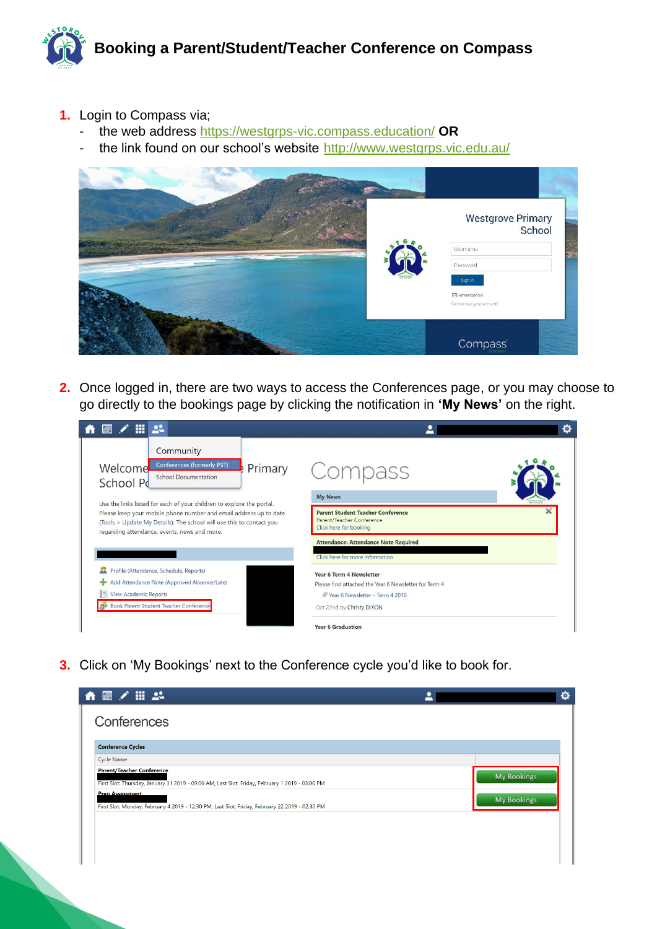

- **1.** Login to Compass via;
	- the web address<https://westgrps-vic.compass.education/> **OR**
	- the link found on our school's website <http://www.westgrps.vic.edu.au/>



**2.** Once logged in, there are two ways to access the Conferences page, or you may choose to go directly to the bookings page by clicking the notification in **'My News'** on the right.

| Community<br>Conferences (formerly PST)<br>Primary<br>Welcome<br>Compass<br>School Documentation<br>School Pd<br><b>My News</b><br>FOGETHER<br>Use the links listed for each of your children to explore the portal.<br><b>Parent Student Teacher Conference</b><br>Please keep your mobile phone number and email address up to date<br>Parent/Teacher Conference<br>(Tools > Update My Details). The school will use this to contact you<br>Click here for booking<br>regarding attendance, events, news and more.<br><b>Attendance: Attendance Note Required</b><br>Click here for more information<br>Profile (Attendance, Schedule, Reports)<br><b>Year 6 Term 4 Newsletter</b><br>Add Attendance Note (Approved Absence/Late)<br>Please find attached the Year 6 Newsletter for Term 4<br><b>View Academic Reports</b><br>Vear 6 Newsletter - Term 4 2018<br><b>Book Parent Student Teacher Conference</b> | m<br>22 | o |
|------------------------------------------------------------------------------------------------------------------------------------------------------------------------------------------------------------------------------------------------------------------------------------------------------------------------------------------------------------------------------------------------------------------------------------------------------------------------------------------------------------------------------------------------------------------------------------------------------------------------------------------------------------------------------------------------------------------------------------------------------------------------------------------------------------------------------------------------------------------------------------------------------------------|---------|---|
|                                                                                                                                                                                                                                                                                                                                                                                                                                                                                                                                                                                                                                                                                                                                                                                                                                                                                                                  |         |   |
|                                                                                                                                                                                                                                                                                                                                                                                                                                                                                                                                                                                                                                                                                                                                                                                                                                                                                                                  |         |   |
|                                                                                                                                                                                                                                                                                                                                                                                                                                                                                                                                                                                                                                                                                                                                                                                                                                                                                                                  |         |   |
|                                                                                                                                                                                                                                                                                                                                                                                                                                                                                                                                                                                                                                                                                                                                                                                                                                                                                                                  |         |   |
|                                                                                                                                                                                                                                                                                                                                                                                                                                                                                                                                                                                                                                                                                                                                                                                                                                                                                                                  |         |   |

**3.** Click on 'My Bookings' next to the Conference cycle you'd like to book for.